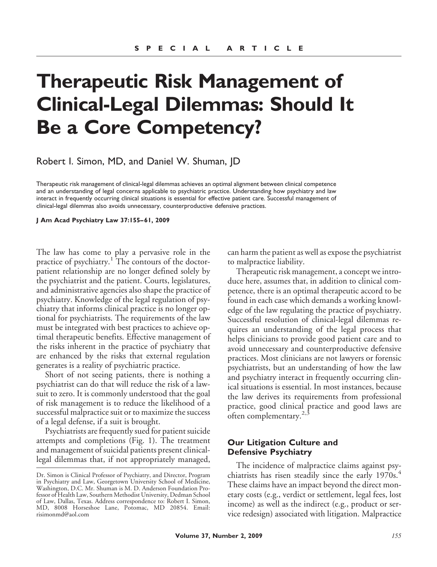# **Therapeutic Risk Management of Clinical-Legal Dilemmas: Should It Be a Core Competency?**

Robert I. Simon, MD, and Daniel W. Shuman, JD

Therapeutic risk management of clinical-legal dilemmas achieves an optimal alignment between clinical competence and an understanding of legal concerns applicable to psychiatric practice. Understanding how psychiatry and law interact in frequently occurring clinical situations is essential for effective patient care. Successful management of clinical-legal dilemmas also avoids unnecessary, counterproductive defensive practices.

**J Am Acad Psychiatry Law 37:155– 61, 2009**

The law has come to play a pervasive role in the practice of psychiatry.<sup>1</sup> The contours of the doctorpatient relationship are no longer defined solely by the psychiatrist and the patient. Courts, legislatures, and administrative agencies also shape the practice of psychiatry. Knowledge of the legal regulation of psychiatry that informs clinical practice is no longer optional for psychiatrists. The requirements of the law must be integrated with best practices to achieve optimal therapeutic benefits. Effective management of the risks inherent in the practice of psychiatry that are enhanced by the risks that external regulation generates is a reality of psychiatric practice.

Short of not seeing patients, there is nothing a psychiatrist can do that will reduce the risk of a lawsuit to zero. It is commonly understood that the goal of risk management is to reduce the likelihood of a successful malpractice suit or to maximize the success of a legal defense, if a suit is brought.

Psychiatrists are frequently sued for patient suicide attempts and completions (Fig. 1). The treatment and management of suicidal patients present clinicallegal dilemmas that, if not appropriately managed, can harm the patient as well as expose the psychiatrist to malpractice liability.

Therapeutic risk management, a concept we introduce here, assumes that, in addition to clinical competence, there is an optimal therapeutic accord to be found in each case which demands a working knowledge of the law regulating the practice of psychiatry. Successful resolution of clinical-legal dilemmas requires an understanding of the legal process that helps clinicians to provide good patient care and to avoid unnecessary and counterproductive defensive practices. Most clinicians are not lawyers or forensic psychiatrists, but an understanding of how the law and psychiatry interact in frequently occurring clinical situations is essential. In most instances, because the law derives its requirements from professional practice, good clinical practice and good laws are often complementary. $2,3$ 

# **Our Litigation Culture and Defensive Psychiatry**

The incidence of malpractice claims against psychiatrists has risen steadily since the early 1970s.<sup>4</sup> These claims have an impact beyond the direct monetary costs (e.g., verdict or settlement, legal fees, lost income) as well as the indirect (e.g., product or service redesign) associated with litigation. Malpractice

Dr. Simon is Clinical Professor of Psychiatry, and Director, Program in Psychiatry and Law, Georgetown University School of Medicine, Washington, D.C. Mr. Shuman is M. D. Anderson Foundation Professor of Health Law, Southern Methodist University, Dedman School of Law, Dallas, Texas. Address correspondence to: Robert I. Simon, MD, 8008 Horseshoe Lane, Potomac, MD 20854. Email: risimonmd@aol.com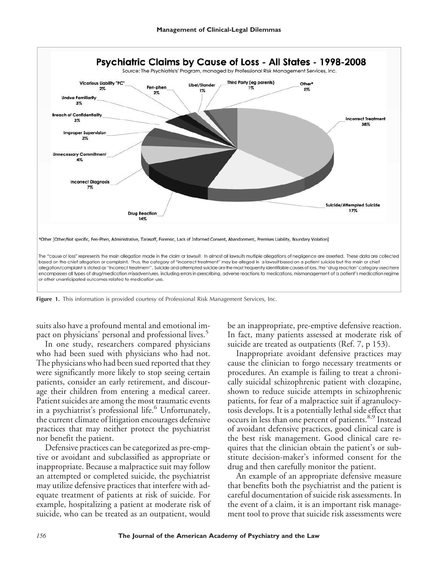

**Figure 1.** This information is provided courtesy of Professional Risk Management Services, Inc.

suits also have a profound mental and emotional impact on physicians' personal and professional lives.<sup>5</sup>

In one study, researchers compared physicians who had been sued with physicians who had not. The physicians who had been sued reported that they were significantly more likely to stop seeing certain patients, consider an early retirement, and discourage their children from entering a medical career. Patient suicides are among the most traumatic events in a psychiatrist's professional life.<sup>6</sup> Unfortunately, the current climate of litigation encourages defensive practices that may neither protect the psychiatrist nor benefit the patient.

Defensive practices can be categorized as pre-emptive or avoidant and subclassified as appropriate or inappropriate. Because a malpractice suit may follow an attempted or completed suicide, the psychiatrist may utilize defensive practices that interfere with adequate treatment of patients at risk of suicide. For example, hospitalizing a patient at moderate risk of suicide, who can be treated as an outpatient, would be an inappropriate, pre-emptive defensive reaction. In fact, many patients assessed at moderate risk of suicide are treated as outpatients (Ref. 7, p 153).

Inappropriate avoidant defensive practices may cause the clinician to forgo necessary treatments or procedures. An example is failing to treat a chronically suicidal schizophrenic patient with clozapine, shown to reduce suicide attempts in schizophrenic patients, for fear of a malpractice suit if agranulocytosis develops. It is a potentially lethal side effect that occurs in less than one percent of patients.<sup>8,9</sup> Instead of avoidant defensive practices, good clinical care is the best risk management. Good clinical care requires that the clinician obtain the patient's or substitute decision-maker's informed consent for the drug and then carefully monitor the patient.

An example of an appropriate defensive measure that benefits both the psychiatrist and the patient is careful documentation of suicide risk assessments. In the event of a claim, it is an important risk management tool to prove that suicide risk assessments were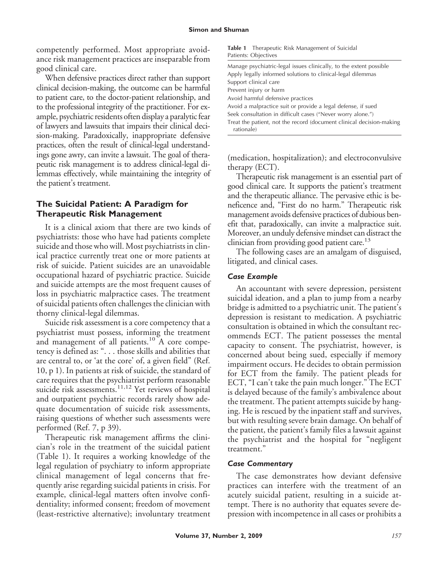competently performed. Most appropriate avoidance risk management practices are inseparable from good clinical care.

When defensive practices direct rather than support clinical decision-making, the outcome can be harmful to patient care, to the doctor-patient relationship, and to the professional integrity of the practitioner. For example, psychiatric residents often display a paralytic fear of lawyers and lawsuits that impairs their clinical decision-making. Paradoxically, inappropriate defensive practices, often the result of clinical-legal understandings gone awry, can invite a lawsuit. The goal of therapeutic risk management is to address clinical-legal dilemmas effectively, while maintaining the integrity of the patient's treatment.

# **The Suicidal Patient: A Paradigm for Therapeutic Risk Management**

It is a clinical axiom that there are two kinds of psychiatrists: those who have had patients complete suicide and those who will. Most psychiatrists in clinical practice currently treat one or more patients at risk of suicide. Patient suicides are an unavoidable occupational hazard of psychiatric practice. Suicide and suicide attempts are the most frequent causes of loss in psychiatric malpractice cases. The treatment of suicidal patients often challenges the clinician with thorny clinical-legal dilemmas.

Suicide risk assessment is a core competency that a psychiatrist must possess, informing the treatment and management of all patients.<sup>10</sup> A core competency is defined as: ". . . those skills and abilities that are central to, or 'at the core' of, a given field" (Ref. 10, p 1). In patients at risk of suicide, the standard of care requires that the psychiatrist perform reasonable suicide risk assessments.<sup>11,12</sup> Yet reviews of hospital and outpatient psychiatric records rarely show adequate documentation of suicide risk assessments, raising questions of whether such assessments were performed (Ref. 7, p 39).

Therapeutic risk management affirms the clinician's role in the treatment of the suicidal patient (Table 1). It requires a working knowledge of the legal regulation of psychiatry to inform appropriate clinical management of legal concerns that frequently arise regarding suicidal patients in crisis. For example, clinical-legal matters often involve confidentiality; informed consent; freedom of movement (least-restrictive alternative); involuntary treatment

| <b>Table 1</b> Therapeutic Risk Management of Suicidal |
|--------------------------------------------------------|
| Patients: Objectives                                   |

(medication, hospitalization); and electroconvulsive therapy (ECT).

Therapeutic risk management is an essential part of good clinical care. It supports the patient's treatment and the therapeutic alliance. The pervasive ethic is beneficence and, "First do no harm." Therapeutic risk management avoids defensive practices of dubious benefit that, paradoxically, can invite a malpractice suit. Moreover, an unduly defensive mindset can distract the clinician from providing good patient care.<sup>13</sup>

The following cases are an amalgam of disguised, litigated, and clinical cases.

### *Case Example*

An accountant with severe depression, persistent suicidal ideation, and a plan to jump from a nearby bridge is admitted to a psychiatric unit. The patient's depression is resistant to medication. A psychiatric consultation is obtained in which the consultant recommends ECT. The patient possesses the mental capacity to consent. The psychiatrist, however, is concerned about being sued, especially if memory impairment occurs. He decides to obtain permission for ECT from the family. The patient pleads for ECT, "I can't take the pain much longer." The ECT is delayed because of the family's ambivalence about the treatment. The patient attempts suicide by hanging. He is rescued by the inpatient staff and survives, but with resulting severe brain damage. On behalf of the patient, the patient's family files a lawsuit against the psychiatrist and the hospital for "negligent treatment."

#### *Case Commentary*

The case demonstrates how deviant defensive practices can interfere with the treatment of an acutely suicidal patient, resulting in a suicide attempt. There is no authority that equates severe depression with incompetence in all cases or prohibits a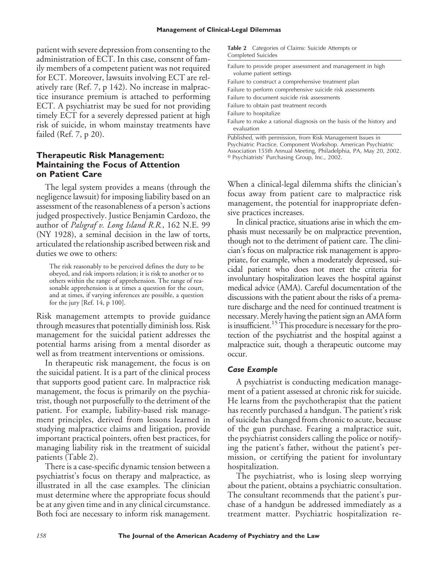patient with severe depression from consenting to the administration of ECT. In this case, consent of family members of a competent patient was not required for ECT. Moreover, lawsuits involving ECT are relatively rare (Ref. 7, p 142). No increase in malpractice insurance premium is attached to performing ECT. A psychiatrist may be sued for not providing timely ECT for a severely depressed patient at high risk of suicide, in whom mainstay treatments have failed (Ref. 7, p 20).

# **Therapeutic Risk Management: Maintaining the Focus of Attention on Patient Care**

The legal system provides a means (through the negligence lawsuit) for imposing liability based on an assessment of the reasonableness of a person's actions judged prospectively. Justice Benjamin Cardozo, the author of *Palsgraf v. Long Island R.R.*, 162 N.E. 99 (NY 1928), a seminal decision in the law of torts, articulated the relationship ascribed between risk and duties we owe to others:

The risk reasonably to be perceived defines the duty to be obeyed, and risk imports relation; it is risk to another or to others within the range of apprehension. The range of reasonable apprehension is at times a question for the court, and at times, if varying inferences are possible, a question for the jury [Ref.  $14$ ,  $p 100$ ].

Risk management attempts to provide guidance through measures that potentially diminish loss. Risk management for the suicidal patient addresses the potential harms arising from a mental disorder as well as from treatment interventions or omissions.

In therapeutic risk management, the focus is on the suicidal patient. It is a part of the clinical process that supports good patient care. In malpractice risk management, the focus is primarily on the psychiatrist, though not purposefully to the detriment of the patient. For example, liability-based risk management principles, derived from lessons learned in studying malpractice claims and litigation, provide important practical pointers, often best practices, for managing liability risk in the treatment of suicidal patients (Table 2).

There is a case-specific dynamic tension between a psychiatrist's focus on therapy and malpractice, as illustrated in all the case examples. The clinician must determine where the appropriate focus should be at any given time and in any clinical circumstance. Both foci are necessary to inform risk management.

|                           | <b>Table 2</b> Categories of Claims: Suicide Attempts or |  |
|---------------------------|----------------------------------------------------------|--|
| <b>Completed Suicides</b> |                                                          |  |

| Failure to provide proper assessment and management in high<br>volume patient settings                                       |
|------------------------------------------------------------------------------------------------------------------------------|
| Failure to construct a comprehensive treatment plan                                                                          |
| Failure to perform comprehensive suicide risk assessments                                                                    |
| Failure to document suicide risk assessments                                                                                 |
| Failure to obtain past treatment records                                                                                     |
| Failure to hospitalize                                                                                                       |
| Failure to make a rational diagnosis on the basis of the history and<br>evaluation                                           |
| Published, with permission, from Risk Management Issues in<br>Psychiatric Practice. Component Workshop. American Psychiatric |

Association 155th Annual Meeting, Philadelphia, PA, May 20, 2002.

Psychiatrists' Purchasing Group, Inc., 2002.

When a clinical-legal dilemma shifts the clinician's focus away from patient care to malpractice risk management, the potential for inappropriate defensive practices increases.

In clinical practice, situations arise in which the emphasis must necessarily be on malpractice prevention, though not to the detriment of patient care. The clinician's focus on malpractice risk management is appropriate, for example, when a moderately depressed, suicidal patient who does not meet the criteria for involuntary hospitalization leaves the hospital against medical advice (AMA). Careful documentation of the discussions with the patient about the risks of a premature discharge and the need for continued treatment is necessary.Merely having the patient sign an AMA form is insufficient.<sup>15</sup> This procedure is necessary for the protection of the psychiatrist and the hospital against a malpractice suit, though a therapeutic outcome may occur.

#### *Case Example*

A psychiatrist is conducting medication management of a patient assessed at chronic risk for suicide. He learns from the psychotherapist that the patient has recently purchased a handgun. The patient's risk of suicide has changed from chronic to acute, because of the gun purchase. Fearing a malpractice suit, the psychiatrist considers calling the police or notifying the patient's father, without the patient's permission, or certifying the patient for involuntary hospitalization.

The psychiatrist, who is losing sleep worrying about the patient, obtains a psychiatric consultation. The consultant recommends that the patient's purchase of a handgun be addressed immediately as a treatment matter. Psychiatric hospitalization re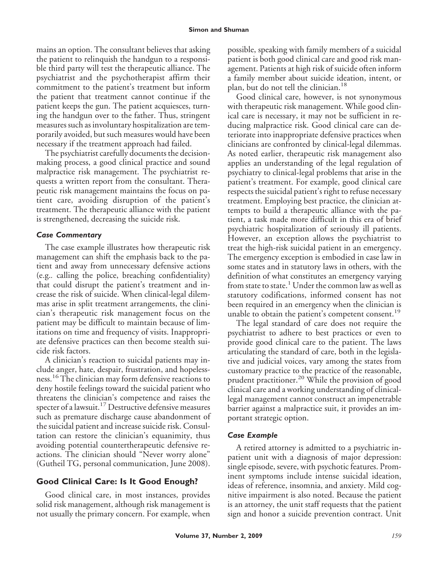mains an option. The consultant believes that asking the patient to relinquish the handgun to a responsible third party will test the therapeutic alliance. The psychiatrist and the psychotherapist affirm their commitment to the patient's treatment but inform the patient that treatment cannot continue if the patient keeps the gun. The patient acquiesces, turning the handgun over to the father. Thus, stringent measures such as involuntary hospitalization are temporarily avoided, but such measures would have been necessary if the treatment approach had failed.

The psychiatrist carefully documents the decisionmaking process, a good clinical practice and sound malpractice risk management. The psychiatrist requests a written report from the consultant. Therapeutic risk management maintains the focus on patient care, avoiding disruption of the patient's treatment. The therapeutic alliance with the patient is strengthened, decreasing the suicide risk.

# *Case Commentary*

The case example illustrates how therapeutic risk management can shift the emphasis back to the patient and away from unnecessary defensive actions (e.g.*.* calling the police, breaching confidentiality) that could disrupt the patient's treatment and increase the risk of suicide. When clinical-legal dilemmas arise in split treatment arrangements, the clinician's therapeutic risk management focus on the patient may be difficult to maintain because of limitations on time and frequency of visits. Inappropriate defensive practices can then become stealth suicide risk factors.

A clinician's reaction to suicidal patients may include anger, hate, despair, frustration, and hopelessness.<sup>16</sup> The clinician may form defensive reactions to deny hostile feelings toward the suicidal patient who threatens the clinician's competence and raises the specter of a lawsuit.<sup>17</sup> Destructive defensive measures such as premature discharge cause abandonment of the suicidal patient and increase suicide risk. Consultation can restore the clinician's equanimity, thus avoiding potential countertherapeutic defensive reactions. The clinician should "Never worry alone" (Gutheil TG, personal communication, June 2008).

# **Good Clinical Care: Is It Good Enough?**

Good clinical care, in most instances, provides solid risk management, although risk management is not usually the primary concern. For example, when

possible, speaking with family members of a suicidal patient is both good clinical care and good risk management. Patients at high risk of suicide often inform a family member about suicide ideation, intent, or plan, but do not tell the clinician.<sup>18</sup>

Good clinical care, however, is not synonymous with therapeutic risk management. While good clinical care is necessary, it may not be sufficient in reducing malpractice risk. Good clinical care can deteriorate into inappropriate defensive practices when clinicians are confronted by clinical-legal dilemmas. As noted earlier, therapeutic risk management also applies an understanding of the legal regulation of psychiatry to clinical-legal problems that arise in the patient's treatment. For example, good clinical care respects the suicidal patient's right to refuse necessary treatment. Employing best practice, the clinician attempts to build a therapeutic alliance with the patient, a task made more difficult in this era of brief psychiatric hospitalization of seriously ill patients. However, an exception allows the psychiatrist to treat the high-risk suicidal patient in an emergency. The emergency exception is embodied in case law in some states and in statutory laws in others, with the definition of what constitutes an emergency varying from state to state.<sup>1</sup> Under the common law as well as statutory codifications, informed consent has not been required in an emergency when the clinician is unable to obtain the patient's competent consent.<sup>19</sup>

The legal standard of care does not require the psychiatrist to adhere to best practices or even to provide good clinical care to the patient. The laws articulating the standard of care, both in the legislative and judicial voices, vary among the states from customary practice to the practice of the reasonable, prudent practitioner.<sup>20</sup> While the provision of good clinical care and a working understanding of clinicallegal management cannot construct an impenetrable barrier against a malpractice suit, it provides an important strategic option.

# *Case Example*

A retired attorney is admitted to a psychiatric inpatient unit with a diagnosis of major depression: single episode, severe, with psychotic features. Prominent symptoms include intense suicidal ideation, ideas of reference, insomnia, and anxiety. Mild cognitive impairment is also noted. Because the patient is an attorney, the unit staff requests that the patient sign and honor a suicide prevention contract. Unit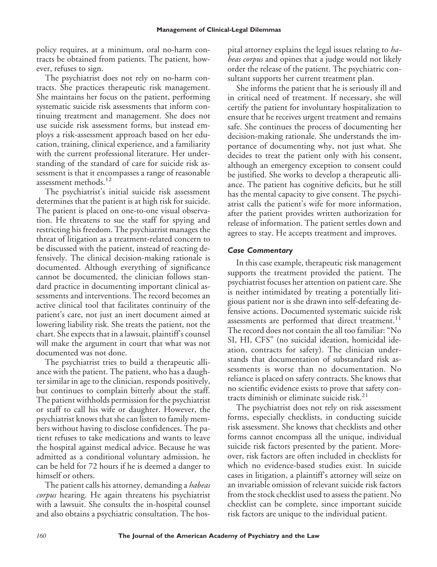policy requires, at a minimum, oral no-harm contracts be obtained from patients. The patient, however, refuses to sign.

The psychiatrist does not rely on no-harm contracts. She practices therapeutic risk management. She maintains her focus on the patient, performing systematic suicide risk assessments that inform continuing treatment and management. She does not use suicide risk assessment forms, but instead employs a risk-assessment approach based on her education, training, clinical experience, and a familiarity with the current professional literature. Her understanding of the standard of care for suicide risk assessment is that it encompasses a range of reasonable assessment methods.<sup>12</sup>

The psychiatrist's initial suicide risk assessment determines that the patient is at high risk for suicide. The patient is placed on one-to-one visual observation. He threatens to sue the staff for spying and restricting his freedom. The psychiatrist manages the threat of litigation as a treatment-related concern to be discussed with the patient, instead of reacting defensively. The clinical decision-making rationale is documented. Although everything of significance cannot be documented, the clinician follows standard practice in documenting important clinical assessments and interventions. The record becomes an active clinical tool that facilitates continuity of the patient's care, not just an inert document aimed at lowering liability risk. She treats the patient, not the chart. She expects that in a lawsuit, plaintiff's counsel will make the argument in court that what was not documented was not done.

The psychiatrist tries to build a therapeutic alliance with the patient. The patient, who has a daughter similar in age to the clinician, responds positively, but continues to complain bitterly about the staff. The patient withholds permission for the psychiatrist or staff to call his wife or daughter. However, the psychiatrist knows that she can listen to family members without having to disclose confidences. The patient refuses to take medications and wants to leave the hospital against medical advice. Because he was admitted as a conditional voluntary admission, he can be held for 72 hours if he is deemed a danger to himself or others.

The patient calls his attorney, demanding a *habeas corpus* hearing. He again threatens his psychiatrist with a lawsuit. She consults the in-hospital counsel and also obtains a psychiatric consultation. The hos-

pital attorney explains the legal issues relating to *habeas corpus* and opines that a judge would not likely order the release of the patient. The psychiatric consultant supports her current treatment plan.

She informs the patient that he is seriously ill and in critical need of treatment. If necessary, she will certify the patient for involuntary hospitalization to ensure that he receives urgent treatment and remains safe. She continues the process of documenting her decision-making rationale. She understands the importance of documenting why, not just what. She decides to treat the patient only with his consent, although an emergency exception to consent could be justified. She works to develop a therapeutic alliance. The patient has cognitive deficits, but he still has the mental capacity to give consent. The psychiatrist calls the patient's wife for more information, after the patient provides written authorization for release of information. The patient settles down and agrees to stay. He accepts treatment and improves.

### *Case Commentary*

In this case example, therapeutic risk management supports the treatment provided the patient. The psychiatrist focuses her attention on patient care. She is neither intimidated by treating a potentially litigious patient nor is she drawn into self-defeating defensive actions. Documented systematic suicide risk assessments are performed that direct treatment.<sup>11</sup> The record does not contain the all too familiar: "No SI, HI, CFS" (no suicidal ideation, homicidal ideation, contracts for safety). The clinician understands that documentation of substandard risk assessments is worse than no documentation. No reliance is placed on safety contracts. She knows that no scientific evidence exists to prove that safety contracts diminish or eliminate suicide risk. $21$ 

The psychiatrist does not rely on risk assessment forms, especially checklists, in conducting suicide risk assessment. She knows that checklists and other forms cannot encompass all the unique, individual suicide risk factors presented by the patient. Moreover, risk factors are often included in checklists for which no evidence-based studies exist. In suicide cases in litigation, a plaintiff's attorney will seize on an invariable omission of relevant suicide risk factors from the stock checklist used to assess the patient. No checklist can be complete, since important suicide risk factors are unique to the individual patient.